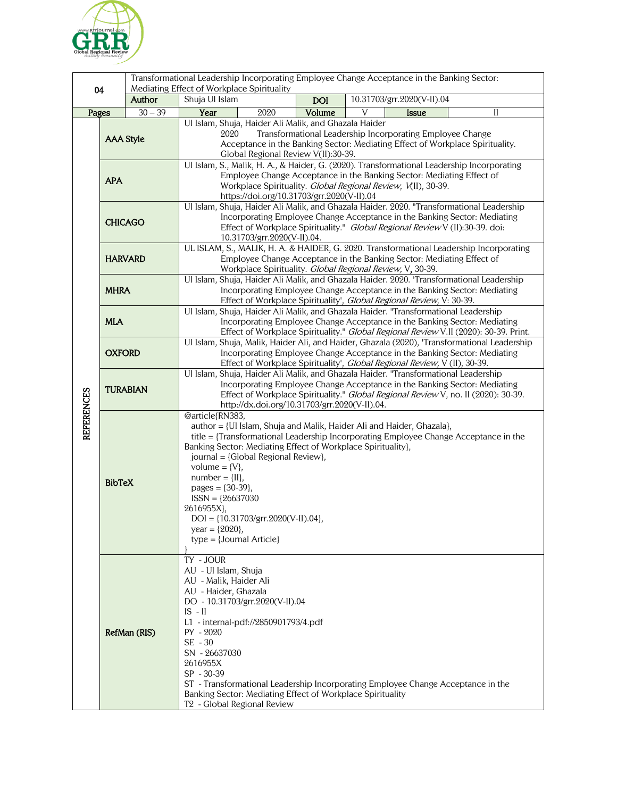

| 04                |                  |                      | Transformational Leadership Incorporating Employee Change Acceptance in the Banking Sector:<br>Mediating Effect of Workplace Spirituality                                                                                                                                                                                                                                                                                                                                                         |            |   |                            |              |
|-------------------|------------------|----------------------|---------------------------------------------------------------------------------------------------------------------------------------------------------------------------------------------------------------------------------------------------------------------------------------------------------------------------------------------------------------------------------------------------------------------------------------------------------------------------------------------------|------------|---|----------------------------|--------------|
|                   |                  | Author               | Shuja Ul Islam                                                                                                                                                                                                                                                                                                                                                                                                                                                                                    | <b>DOI</b> |   | 10.31703/grr.2020(V-II).04 |              |
| Pages             |                  | $\overline{30} - 39$ | Year<br>2020                                                                                                                                                                                                                                                                                                                                                                                                                                                                                      | Volume     | V | <b>Issue</b>               | $\mathbf{I}$ |
| <b>REFERENCES</b> | <b>AAA Style</b> |                      | Ul Islam, Shuja, Haider Ali Malik, and Ghazala Haider<br>2020<br>Transformational Leadership Incorporating Employee Change<br>Acceptance in the Banking Sector: Mediating Effect of Workplace Spirituality.<br>Global Regional Review V(II):30-39.                                                                                                                                                                                                                                                |            |   |                            |              |
|                   | <b>APA</b>       |                      | Ul Islam, S., Malik, H. A., & Haider, G. (2020). Transformational Leadership Incorporating<br>Employee Change Acceptance in the Banking Sector: Mediating Effect of<br>Workplace Spirituality. Global Regional Review, V(II), 30-39.<br>https://doi.org/10.31703/grr.2020(V-II).04                                                                                                                                                                                                                |            |   |                            |              |
|                   | <b>CHICAGO</b>   |                      | Ul Islam, Shuja, Haider Ali Malik, and Ghazala Haider. 2020. "Transformational Leadership<br>Incorporating Employee Change Acceptance in the Banking Sector: Mediating<br>Effect of Workplace Spirituality." Global Regional Review V (II):30-39. doi:<br>10.31703/grr.2020(V-II).04.                                                                                                                                                                                                             |            |   |                            |              |
|                   | <b>HARVARD</b>   |                      | UL ISLAM, S., MALIK, H. A. & HAIDER, G. 2020. Transformational Leadership Incorporating<br>Employee Change Acceptance in the Banking Sector: Mediating Effect of<br>Workplace Spirituality. Global Regional Review, V, 30-39.                                                                                                                                                                                                                                                                     |            |   |                            |              |
|                   | <b>MHRA</b>      |                      | Ul Islam, Shuja, Haider Ali Malik, and Ghazala Haider. 2020. 'Transformational Leadership<br>Incorporating Employee Change Acceptance in the Banking Sector: Mediating<br>Effect of Workplace Spirituality', Global Regional Review, V: 30-39.                                                                                                                                                                                                                                                    |            |   |                            |              |
|                   | <b>MLA</b>       |                      | Ul Islam, Shuja, Haider Ali Malik, and Ghazala Haider. "Transformational Leadership<br>Incorporating Employee Change Acceptance in the Banking Sector: Mediating<br>Effect of Workplace Spirituality." Global Regional Review V.II (2020): 30-39. Print.                                                                                                                                                                                                                                          |            |   |                            |              |
|                   | <b>OXFORD</b>    |                      | Ul Islam, Shuja, Malik, Haider Ali, and Haider, Ghazala (2020), 'Transformational Leadership<br>Incorporating Employee Change Acceptance in the Banking Sector: Mediating<br>Effect of Workplace Spirituality', Global Regional Review, V (II), 30-39.                                                                                                                                                                                                                                            |            |   |                            |              |
|                   | <b>TURABIAN</b>  |                      | Ul Islam, Shuja, Haider Ali Malik, and Ghazala Haider. "Transformational Leadership<br>Incorporating Employee Change Acceptance in the Banking Sector: Mediating<br>Effect of Workplace Spirituality." Global Regional Review V, no. II (2020): 30-39.<br>http://dx.doi.org/10.31703/grr.2020(V-II).04.                                                                                                                                                                                           |            |   |                            |              |
|                   | <b>BibTeX</b>    |                      | @article{RN383,<br>author = {UI Islam, Shuja and Malik, Haider Ali and Haider, Ghazala},<br>title = {Transformational Leadership Incorporating Employee Change Acceptance in the<br>Banking Sector: Mediating Effect of Workplace Spirituality},<br>journal = {Global Regional Review},<br>volume = $\{V\}$ ,<br>$number = \{II\},\$<br>pages = $\{30-39\}$ ,<br>$ISSN = {26637030}$<br>2616955X},<br>$DOI = \{10.31703/grr.2020(V-II).04\},\$<br>year = ${2020}$ ,<br>$type = {Journal Article}$ |            |   |                            |              |
|                   | RefMan (RIS)     |                      | TY - JOUR<br>AU - Ul Islam, Shuja<br>AU - Malik, Haider Ali<br>AU - Haider, Ghazala<br>DO - 10.31703/grr.2020(V-II).04<br>$IS - II$<br>L1 - internal-pdf://2850901793/4.pdf<br>$PY - 2020$<br>SE - 30<br>SN - 26637030<br>2616955X<br>SP - 30-39<br>ST - Transformational Leadership Incorporating Employee Change Acceptance in the<br>Banking Sector: Mediating Effect of Workplace Spirituality<br>T <sub>2</sub> - Global Regional Review                                                     |            |   |                            |              |